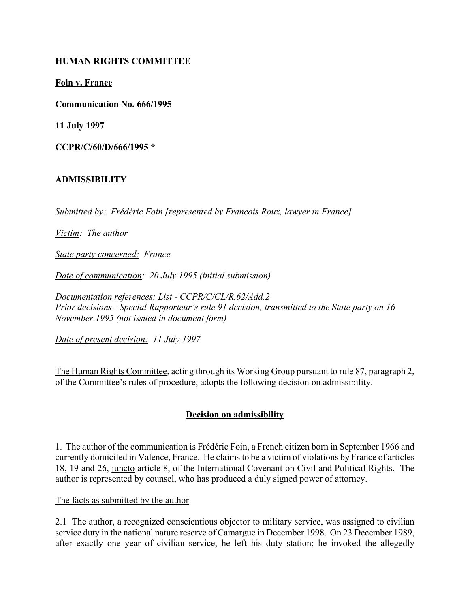### **HUMAN RIGHTS COMMITTEE**

**Foin v. France**

**Communication No. 666/1995**

**11 July 1997**

**CCPR/C/60/D/666/1995 \***

#### **ADMISSIBILITY**

*Submitted by: Frédéric Foin [represented by François Roux, lawyer in France]* 

*Victim: The author*

*State party concerned: France*

*Date of communication: 20 July 1995 (initial submission)* 

*Documentation references: List - CCPR/C/CL/R.62/Add.2 Prior decisions - Special Rapporteur's rule 91 decision, transmitted to the State party on 16 November 1995 (not issued in document form)*

*Date of present decision: 11 July 1997*

The Human Rights Committee, acting through its Working Group pursuant to rule 87, paragraph 2, of the Committee's rules of procedure, adopts the following decision on admissibility.

### **Decision on admissibility**

1. The author of the communication is Frédéric Foin, a French citizen born in September 1966 and currently domiciled in Valence, France. He claims to be a victim of violations by France of articles 18, 19 and 26, juncto article 8, of the International Covenant on Civil and Political Rights. The author is represented by counsel, who has produced a duly signed power of attorney.

The facts as submitted by the author

2.1 The author, a recognized conscientious objector to military service, was assigned to civilian service duty in the national nature reserve of Camargue in December 1998. On 23 December 1989, after exactly one year of civilian service, he left his duty station; he invoked the allegedly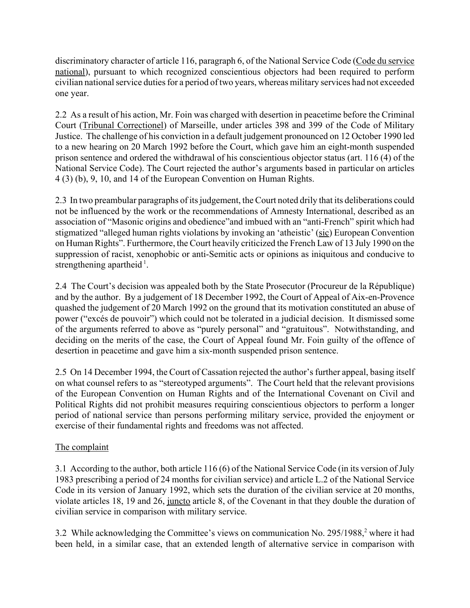discriminatory character of article 116, paragraph 6, of the National Service Code (Code du service national), pursuant to which recognized conscientious objectors had been required to perform civilian national service duties for a period of two years, whereas military services had not exceeded one year.

2.2 As a result of his action, Mr. Foin was charged with desertion in peacetime before the Criminal Court (Tribunal Correctionel) of Marseille, under articles 398 and 399 of the Code of Military Justice. The challenge of his conviction in a default judgement pronounced on 12 October 1990 led to a new hearing on 20 March 1992 before the Court, which gave him an eight-month suspended prison sentence and ordered the withdrawal of his conscientious objector status (art. 116 (4) of the National Service Code). The Court rejected the author's arguments based in particular on articles 4 (3) (b), 9, 10, and 14 of the European Convention on Human Rights.

2.3 In two preambular paragraphs of its judgement, the Court noted drily that its deliberations could not be influenced by the work or the recommendations of Amnesty International, described as an association of "Masonic origins and obedience" and imbued with an "anti-French" spirit which had stigmatized "alleged human rights violations by invoking an 'atheistic' (sic) European Convention on Human Rightsî. Furthermore, the Court heavily criticized the French Law of 13 July 1990 on the suppression of racist, xenophobic or anti-Semitic acts or opinions as iniquitous and conducive to strengthening apartheid  $<sup>1</sup>$ .</sup>

2.4 The Court's decision was appealed both by the State Prosecutor (Procureur de la République) and by the author. By a judgement of 18 December 1992, the Court of Appeal of Aix-en-Provence quashed the judgement of 20 March 1992 on the ground that its motivation constituted an abuse of power ("excés de pouvoir") which could not be tolerated in a judicial decision. It dismissed some of the arguments referred to above as "purely personal" and "gratuitous". Notwithstanding, and deciding on the merits of the case, the Court of Appeal found Mr. Foin guilty of the offence of desertion in peacetime and gave him a six-month suspended prison sentence.

2.5 On 14 December 1994, the Court of Cassation rejected the author's further appeal, basing itself on what counsel refers to as "stereotyped arguments". The Court held that the relevant provisions of the European Convention on Human Rights and of the International Covenant on Civil and Political Rights did not prohibit measures requiring conscientious objectors to perform a longer period of national service than persons performing military service, provided the enjoyment or exercise of their fundamental rights and freedoms was not affected.

# The complaint

3.1 According to the author, both article 116 (6) of the National Service Code (in its version of July 1983 prescribing a period of 24 months for civilian service) and article L.2 of the National Service Code in its version of January 1992, which sets the duration of the civilian service at 20 months, violate articles 18, 19 and 26, juncto article 8, of the Covenant in that they double the duration of civilian service in comparison with military service.

3.2 While acknowledging the Committee's views on communication No. 295/1988,<sup>2</sup> where it had been held, in a similar case, that an extended length of alternative service in comparison with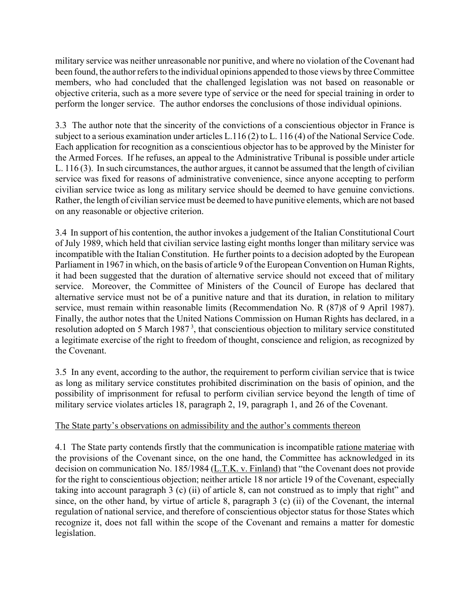military service was neither unreasonable nor punitive, and where no violation of the Covenant had been found, the author refers to the individual opinions appended to those views by three Committee members, who had concluded that the challenged legislation was not based on reasonable or objective criteria, such as a more severe type of service or the need for special training in order to perform the longer service. The author endorses the conclusions of those individual opinions.

3.3 The author note that the sincerity of the convictions of a conscientious objector in France is subject to a serious examination under articles L.116 (2) to L. 116 (4) of the National Service Code. Each application for recognition as a conscientious objector has to be approved by the Minister for the Armed Forces. If he refuses, an appeal to the Administrative Tribunal is possible under article L. 116 (3). In such circumstances, the author argues, it cannot be assumed that the length of civilian service was fixed for reasons of administrative convenience, since anyone accepting to perform civilian service twice as long as military service should be deemed to have genuine convictions. Rather, the length of civilian service must be deemed to have punitive elements, which are not based on any reasonable or objective criterion.

3.4 In support of his contention, the author invokes a judgement of the Italian Constitutional Court of July 1989, which held that civilian service lasting eight months longer than military service was incompatible with the Italian Constitution. He further points to a decision adopted by the European Parliament in 1967 in which, on the basis of article 9 of the European Convention on Human Rights, it had been suggested that the duration of alternative service should not exceed that of military service. Moreover, the Committee of Ministers of the Council of Europe has declared that alternative service must not be of a punitive nature and that its duration, in relation to military service, must remain within reasonable limits (Recommendation No. R (87)8 of 9 April 1987). Finally, the author notes that the United Nations Commission on Human Rights has declared, in a resolution adopted on 5 March 1987<sup>3</sup>, that conscientious objection to military service constituted a legitimate exercise of the right to freedom of thought, conscience and religion, as recognized by the Covenant.

3.5 In any event, according to the author, the requirement to perform civilian service that is twice as long as military service constitutes prohibited discrimination on the basis of opinion, and the possibility of imprisonment for refusal to perform civilian service beyond the length of time of military service violates articles 18, paragraph 2, 19, paragraph 1, and 26 of the Covenant.

### The State party's observations on admissibility and the author's comments thereon

4.1 The State party contends firstly that the communication is incompatible ratione materiae with the provisions of the Covenant since, on the one hand, the Committee has acknowledged in its decision on communication No. 185/1984 (L.T.K. v. Finland) that "the Covenant does not provide for the right to conscientious objection; neither article 18 nor article 19 of the Covenant, especially taking into account paragraph  $3$  (c) (ii) of article 8, can not construed as to imply that right" and since, on the other hand, by virtue of article 8, paragraph 3 (c) (ii) of the Covenant, the internal regulation of national service, and therefore of conscientious objector status for those States which recognize it, does not fall within the scope of the Covenant and remains a matter for domestic legislation.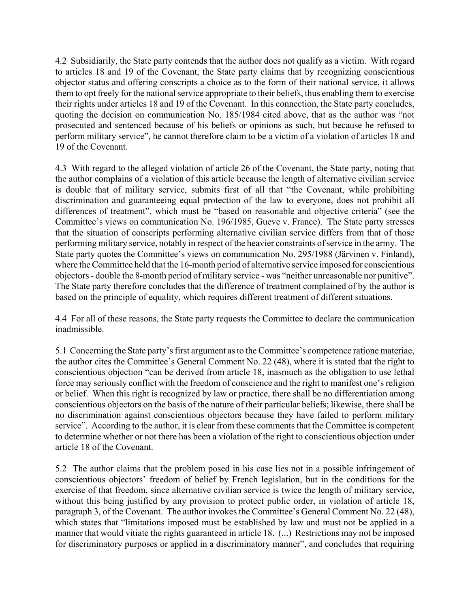4.2 Subsidiarily, the State party contends that the author does not qualify as a victim. With regard to articles 18 and 19 of the Covenant, the State party claims that by recognizing conscientious objector status and offering conscripts a choice as to the form of their national service, it allows them to opt freely for the national service appropriate to their beliefs, thus enabling them to exercise their rights under articles 18 and 19 of the Covenant. In this connection, the State party concludes, quoting the decision on communication No.  $185/1984$  cited above, that as the author was "not prosecuted and sentenced because of his beliefs or opinions as such, but because he refused to perform military service", he cannot therefore claim to be a victim of a violation of articles 18 and 19 of the Covenant.

4.3 With regard to the alleged violation of article 26 of the Covenant, the State party, noting that the author complains of a violation of this article because the length of alternative civilian service is double that of military service, submits first of all that "the Covenant, while prohibiting discrimination and guaranteeing equal protection of the law to everyone, does not prohibit all differences of treatment", which must be "based on reasonable and objective criteria" (see the Committee's views on communication No. 196/1985, Gueve v. France). The State party stresses that the situation of conscripts performing alternative civilian service differs from that of those performing military service, notably in respect of the heavier constraints of service in the army. The State party quotes the Committee's views on communication No. 295/1988 (Järvinen v. Finland), where the Committee held that the 16-month period of alternative service imposed for conscientious objectors - double the 8-month period of military service - was "neither unreasonable nor punitive". The State party therefore concludes that the difference of treatment complained of by the author is based on the principle of equality, which requires different treatment of different situations.

4.4 For all of these reasons, the State party requests the Committee to declare the communication inadmissible.

5.1 Concerning the State party's first argument as to the Committee's competence <u>ratione materiae</u>, the author cites the Committee's General Comment No. 22 (48), where it is stated that the right to conscientious objection "can be derived from article 18, inasmuch as the obligation to use lethal force may seriously conflict with the freedom of conscience and the right to manifest one's religion or belief. When this right is recognized by law or practice, there shall be no differentiation among conscientious objectors on the basis of the nature of their particular beliefs; likewise, there shall be no discrimination against conscientious objectors because they have failed to perform military service". According to the author, it is clear from these comments that the Committee is competent to determine whether or not there has been a violation of the right to conscientious objection under article 18 of the Covenant.

5.2 The author claims that the problem posed in his case lies not in a possible infringement of conscientious objectors' freedom of belief by French legislation, but in the conditions for the exercise of that freedom, since alternative civilian service is twice the length of military service, without this being justified by any provision to protect public order, in violation of article 18, paragraph 3, of the Covenant. The author invokes the Committee's General Comment No. 22 (48), which states that "limitations imposed must be established by law and must not be applied in a manner that would vitiate the rights guaranteed in article 18. (...) Restrictions may not be imposed for discriminatory purposes or applied in a discriminatory manner", and concludes that requiring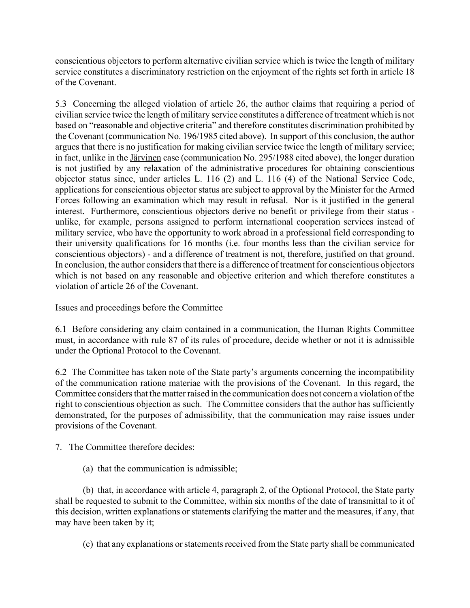conscientious objectors to perform alternative civilian service which is twice the length of military service constitutes a discriminatory restriction on the enjoyment of the rights set forth in article 18 of the Covenant.

5.3 Concerning the alleged violation of article 26, the author claims that requiring a period of civilian service twice the length of military service constitutes a difference of treatment which is not based on "reasonable and objective criteria" and therefore constitutes discrimination prohibited by the Covenant (communication No. 196/1985 cited above). In support of this conclusion, the author argues that there is no justification for making civilian service twice the length of military service; in fact, unlike in the Järvinen case (communication No. 295/1988 cited above), the longer duration is not justified by any relaxation of the administrative procedures for obtaining conscientious objector status since, under articles L. 116 (2) and L. 116 (4) of the National Service Code, applications for conscientious objector status are subject to approval by the Minister for the Armed Forces following an examination which may result in refusal. Nor is it justified in the general interest. Furthermore, conscientious objectors derive no benefit or privilege from their status unlike, for example, persons assigned to perform international cooperation services instead of military service, who have the opportunity to work abroad in a professional field corresponding to their university qualifications for 16 months (i.e. four months less than the civilian service for conscientious objectors) - and a difference of treatment is not, therefore, justified on that ground. In conclusion, the author considers that there is a difference of treatment for conscientious objectors which is not based on any reasonable and objective criterion and which therefore constitutes a violation of article 26 of the Covenant.

## Issues and proceedings before the Committee

6.1 Before considering any claim contained in a communication, the Human Rights Committee must, in accordance with rule 87 of its rules of procedure, decide whether or not it is admissible under the Optional Protocol to the Covenant.

6.2 The Committee has taken note of the State party's arguments concerning the incompatibility of the communication ratione materiae with the provisions of the Covenant. In this regard, the Committee considers that the matter raised in the communication does not concern a violation of the right to conscientious objection as such. The Committee considers that the author has sufficiently demonstrated, for the purposes of admissibility, that the communication may raise issues under provisions of the Covenant.

7. The Committee therefore decides:

(a) that the communication is admissible;

(b) that, in accordance with article 4, paragraph 2, of the Optional Protocol, the State party shall be requested to submit to the Committee, within six months of the date of transmittal to it of this decision, written explanations or statements clarifying the matter and the measures, if any, that may have been taken by it;

(c) that any explanations or statements received from the State party shall be communicated